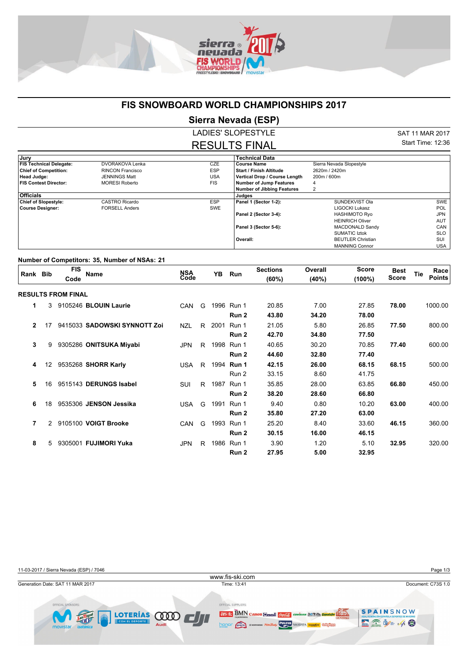

## **FIS SNOWBOARD WORLD CHAMPIONSHIPS 2017**

**Sierra Nevada (ESP)**

LADIES' SLOPESTYLE RESULTS FINAL SAT 11 MAR 2017 Start Time: 12:36

| , Jury                         |                         |            | <b>Technical Data</b>             |                          |            |
|--------------------------------|-------------------------|------------|-----------------------------------|--------------------------|------------|
| <b>FIS Technical Delegate:</b> | DVORAKOVA Lenka         | <b>CZE</b> | <b>Course Name</b>                | Sierra Nevada Slopestyle |            |
| <b>Chief of Competition:</b>   | <b>RINCON Francisco</b> | <b>ESP</b> | <b>Start / Finish Altitude</b>    | 2620m / 2420m            |            |
| Head Judge:                    | JENNINGS Matt           | <b>USA</b> | Vertical Drop / Course Length     | 200m / 600m              |            |
| <b>FIS Contest Director:</b>   | <b>MORESI Roberto</b>   | <b>FIS</b> | Number of Jump Features           | 4                        |            |
|                                |                         |            | <b>Number of Jibbing Features</b> |                          |            |
| <b>Officials</b>               |                         |            | Judges                            |                          |            |
| <b>Chief of Slopestyle:</b>    | CASTRO Ricardo          | <b>ESP</b> | Panel 1 (Sector 1-2):             | SUNDEKVIST Ola           | SWE        |
| <b>Course Designer:</b>        | <b>FORSELL Anders</b>   | <b>SWE</b> |                                   | LIGOCKI Lukasz           | <b>POL</b> |
|                                |                         |            | Panel 2 (Sector 3-4):             | <b>HASHIMOTO Ryo</b>     | JPN        |
|                                |                         |            |                                   | <b>HEINRICH Oliver</b>   | <b>AUT</b> |
|                                |                         |            | Panel 3 (Sector 5-6):             | <b>MACDONALD Sandy</b>   | CAN        |
|                                |                         |            |                                   | SUMATIC Iztok            | <b>SLO</b> |
|                                |                         |            | Overall:                          | <b>BEUTLER Christian</b> | SUI        |
|                                |                         |            |                                   | <b>MANNING Connor</b>    | <b>USA</b> |

## **Number of Competitors: 35, Number of NSAs: 21**

| Rank Bib     |    | <b>FIS</b><br>Code        | <b>Name</b>                  | NSA<br>Code |    | YB   | Run        | <b>Sections</b><br>(60%) | Overall<br>(40%) | Score<br>(100%) | <b>Best</b><br><b>Score</b> | <b>Tie</b> | Race<br><b>Points</b> |
|--------------|----|---------------------------|------------------------------|-------------|----|------|------------|--------------------------|------------------|-----------------|-----------------------------|------------|-----------------------|
|              |    | <b>RESULTS FROM FINAL</b> |                              |             |    |      |            |                          |                  |                 |                             |            |                       |
| 1            | 3  |                           | 9105246 BLOUIN Laurie        | <b>CAN</b>  | G  | 1996 | Run 1      | 20.85                    | 7.00             | 27.85           | 78.00                       |            | 1000.00               |
|              |    |                           |                              |             |    |      | Run 2      | 43.80                    | 34.20            | 78.00           |                             |            |                       |
| $\mathbf{2}$ | 17 |                           | 9415033 SADOWSKI SYNNOTT Zoi | <b>NZL</b>  | R. | 2001 | Run 1      | 21.05                    | 5.80             | 26.85           | 77.50                       |            | 800.00                |
|              |    |                           |                              |             |    |      | Run 2      | 42.70                    | 34.80            | 77.50           |                             |            |                       |
| 3            | 9  |                           | 9305286 ONITSUKA Miyabi      | <b>JPN</b>  | R. | 1998 | Run 1      | 40.65                    | 30.20            | 70.85           | 77.40                       |            | 600.00                |
|              |    |                           |                              |             |    |      | Run 2      | 44.60                    | 32.80            | 77.40           |                             |            |                       |
| 4            | 12 |                           | 9535268 SHORR Karly          | <b>USA</b>  | R  | 1994 | Run 1      | 42.15                    | 26.00            | 68.15           | 68.15                       |            | 500.00                |
|              |    |                           |                              |             |    |      | Run 2      | 33.15                    | 8.60             | 41.75           |                             |            |                       |
| 5            | 16 |                           | 9515143 DERUNGS Isabel       | SUI         | R  | 1987 | Run 1      | 35.85                    | 28.00            | 63.85           | 66.80                       |            | 450.00                |
|              |    |                           |                              |             |    |      | Run 2      | 38.20                    | 28.60            | 66.80           |                             |            |                       |
| 6            | 18 |                           | 9535306 JENSON Jessika       | <b>USA</b>  | G  | 1991 | Run 1      | 9.40                     | 0.80             | 10.20           | 63.00                       |            | 400.00                |
|              |    |                           |                              |             |    |      | Run 2      | 35.80                    | 27.20            | 63.00           |                             |            |                       |
| 7            | 2  |                           | 9105100 VOIGT Brooke         | <b>CAN</b>  | G  | 1993 | Run 1      | 25.20                    | 8.40             | 33.60           | 46.15                       |            | 360.00                |
|              |    |                           |                              |             |    |      | Run 2      | 30.15                    | 16.00            | 46.15           |                             |            |                       |
| 8            | 5  |                           | 9305001 FUJIMORI Yuka        | <b>JPN</b>  | R  |      | 1986 Run 1 | 3.90                     | 1.20             | 5.10            | 32.95                       |            | 320.00                |
|              |    |                           |                              |             |    |      | Run 2      | 27.95                    | 5.00             | 32.95           |                             |            |                       |

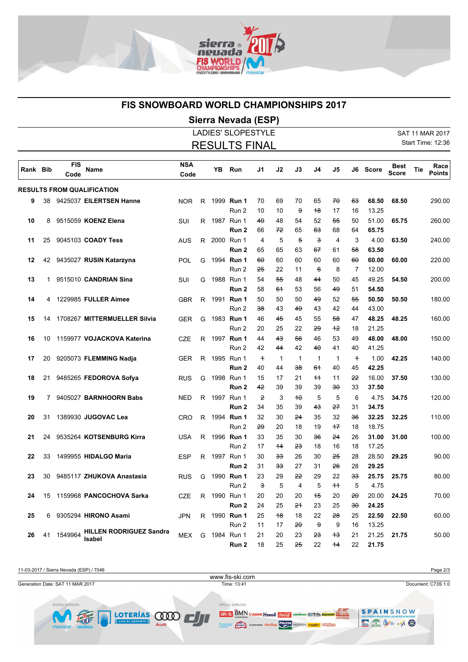

## **FIS SNOWBOARD WORLD CHAMPIONSHIPS 2017**

## **Sierra Nevada (ESP)**

|          |    |                    |                                                 |                    |                      |      | <b>LADIES' SLOPESTYLE</b>      |                      |                     |                      |                             |                     |                      |                |                             |     | SAT 11 MAR 2017       |
|----------|----|--------------------|-------------------------------------------------|--------------------|----------------------|------|--------------------------------|----------------------|---------------------|----------------------|-----------------------------|---------------------|----------------------|----------------|-----------------------------|-----|-----------------------|
|          |    |                    |                                                 |                    | <b>RESULTS FINAL</b> |      |                                |                      |                     |                      |                             |                     | Start Time: 12:36    |                |                             |     |                       |
| Rank Bib |    | <b>FIS</b><br>Code | Name                                            | <b>NSA</b><br>Code |                      | YΒ   | Run                            | J1                   | J2                  | J3                   | J4                          | J5                  |                      | J6 Score       | <b>Best</b><br><b>Score</b> | Tie | Race<br><b>Points</b> |
|          |    |                    | <b>RESULTS FROM QUALIFICATION</b>               |                    |                      |      |                                |                      |                     |                      |                             |                     |                      |                |                             |     |                       |
| 9        | 38 |                    | 9425037 EILERTSEN Hanne                         | <b>NOR</b>         | R                    |      | 1999 <b>Run 1</b><br>Run 2     | 70<br>10             | 69<br>10            | 70<br>$\theta$       | 65<br>48                    | 70<br>17            | <del>63</del><br>16  | 68.50<br>13.25 | 68.50                       |     | 290.00                |
| 10       | 8  |                    | 9515059 KOENZ Elena                             | SUI                | R                    |      | 1987 Run 1<br>Run <sub>2</sub> | 40<br>66             | 48<br>72            | 54<br>65             | 52<br>63                    | 55<br>68            | 50<br>64             | 51.00<br>65.75 | 65.75                       |     | 260.00                |
| 11       | 25 |                    | 9045103 COADY Tess                              | AUS                |                      |      | R 2000 Run 1<br>Run 2          | 4<br>65              | 5<br>65             | $\overline{5}$<br>63 | 3<br>67                     | 4<br>61             | 3<br>58              | 4.00<br>63.50  | 63.50                       |     | 240.00                |
| 12       | 42 |                    | 9435027 RUSIN Katarzyna                         | <b>POL</b>         | G                    | 1994 | Run 1<br>Run 2                 | 60<br><del>25</del>  | 60<br>22            | 60<br>11             | 60<br>$\boldsymbol{\theta}$ | 60<br>8             | 60<br>7              | 60.00<br>12.00 | 60.00                       |     | 220.00                |
| 13       | 1  |                    | 9515010 CANDRIAN Sina                           | SUI                | G                    |      | 1988 Run 1<br>Run 2            | 54<br>58             | 55<br>64            | 48<br>53             | 44<br>56                    | 50<br>49            | 45<br>51             | 49.25<br>54.50 | 54.50                       |     | 200.00                |
| 14       | 4  |                    | 1229985 FULLER Aimee                            | <b>GBR</b>         | R                    |      | 1991 Run 1<br>Run 2            | 50<br>38             | 50<br>43            | 50<br>49             | 49<br>43                    | 52<br>42            | 55<br>44             | 50.50<br>43.00 | 50.50                       |     | 180.00                |
| 15       | 14 |                    | 1708267 MITTERMUELLER Silvia                    | GER                | G                    |      | 1983 Run 1<br>Run 2            | 46<br>20             | 45<br>25            | 45<br>22             | 55<br>29                    | 58<br>$+2$          | 47<br>18             | 48.25<br>21.25 | 48.25                       |     | 160.00                |
| 16       | 10 |                    | 1159977 VOJACKOVA Katerina                      | <b>CZE</b>         | R                    |      | 1997 Run 1<br>Run 2            | 44<br>42             | 43<br>44            | 56<br>42             | 46<br>40                    | 53<br>41            | 49<br>40             | 48.00<br>41.25 | 48.00                       |     | 150.00                |
| 17       | 20 |                    | 9205073 FLEMMING Nadja                          | <b>GER</b>         | R.                   |      | 1995 Run 1<br>Run 2            | $\overline{a}$<br>40 | $\mathbf{1}$<br>44  | $\mathbf{1}$<br>38   | $\mathbf{1}$<br>64          | $\mathbf{1}$<br>40  | $\overline{+}$<br>45 | 1.00<br>42.25  | 42.25                       |     | 140.00                |
| 18       | 21 |                    | 9485265 FEDOROVA Sofya                          | <b>RUS</b>         | G                    |      | 1998 Run 1<br>Run 2            | 15<br>42             | 17<br>39            | 21<br>39             | $+1$<br>39                  | 11<br>30            | 22<br>33             | 16.00<br>37.50 | 37.50                       |     | 130.00                |
| 19       | 7  |                    | 9405027 BARNHOORN Babs                          | <b>NED</b>         | R                    |      | 1997 Run 1<br>Run 2            | $\mathbf{P}$<br>34   | 3<br>35             | 40<br>39             | 5<br>43                     | 5<br>27             | 6<br>31              | 4.75<br>34.75  | 34.75                       |     | 120.00                |
| 20       | 31 |                    | 1389930 JUGOVAC Lea                             | <b>CRO</b>         | R                    |      | 1994 Run 1<br>Run 2            | 32<br><del>29</del>  | 30<br>20            | <del>24</del><br>18  | 35<br>19                    | 32<br>47            | 36<br>18             | 32.25<br>18.75 | 32.25                       |     | 110.00                |
| 21       | 24 |                    | 9535264 KOTSENBURG Kirra                        | <b>USA</b>         | R                    |      | 1996 Run 1<br>Run 2            | 33<br>17             | 35<br>$+4$          | 30<br><del>23</del>  | 36<br>18                    | 24<br>16            | 26<br>18             | 31.00<br>17.25 | 31.00                       |     | 100.00                |
| 22       | 33 |                    | 1499955 HIDALGO Maria                           | <b>ESP</b>         | R.                   |      | 1997 Run 1<br>Run 2            | 30<br>31             | ჭჭ<br>33            | 26<br>27             | 30<br>31                    | 25<br>26            | 28<br>28             | 28.50<br>29.25 | 29.25                       |     | 90.00                 |
| 23       | 30 |                    | 9485117 ZHUKOVA Anastasia                       | <b>RUS</b>         | G                    |      | 1990 Run 1<br>Run 2            | 23<br>€              | 29<br>5             | <del>22</del><br>4   | 29<br>5                     | 22<br>11            | ЗЗ<br>5              | 25.75<br>4.75  | 25.75                       |     | 80.00                 |
| 24       |    |                    | 15 1159968 PANCOCHOVA Sarka                     | CZE                |                      |      | R 1990 Run 1<br>Run 2          | 20<br>24             | 20<br>25            | 20<br><del>21</del>  | 45<br>23                    | 20<br>25            | 20<br><del>3θ</del>  | 20.00<br>24.25 | 24.25                       |     | 70.00                 |
| 25       |    |                    | 6 9305294 HIRONO Asami                          | JPN                |                      |      | R 1990 Run 1<br>Run 2          | 25<br>11             | <del>18</del><br>17 | 18<br>20             | 22<br>€                     | <del>28</del><br>9  | 25<br>16             | 22.50<br>13.25 | 22.50                       |     | 60.00                 |
| 26       | 41 | 1549964            | <b>HILLEN RODRIGUEZ Sandra</b><br><b>Isabel</b> | MEX                |                      |      | G 1984 Run 1<br>Run 2          | 21<br>18             | 20<br>25            | 23<br>25             | <del>23</del><br>22         | <del>13</del><br>14 | 21<br>22             | 21.25<br>21.75 | 21.75                       |     | 50.00                 |

11-03-2017 / Sierra Nevada (ESP) / 7046 Page 2/3 www.fis-ski.comGeneration Date: SAT 11 MAR 2017 Time: 13:41 Document: C73S 1.0 OFFICIAL S OFFICIAL SUPPLIERS: SCREAM COOP SPAINSNOW **2SIS:** BMN Canon Gash *Galla* Coviran DARED. Expanding **STAR** San Migue  $\boldsymbol{\Xi} \widehat{\mathbb{Z}}$   $\mathbf{\hat{\Psi}}$   $\sim$   $\mathbf{\hat{W}}$ **honor (shote)** \* NORTHWEIN POWER SKIDATA THE COLORED